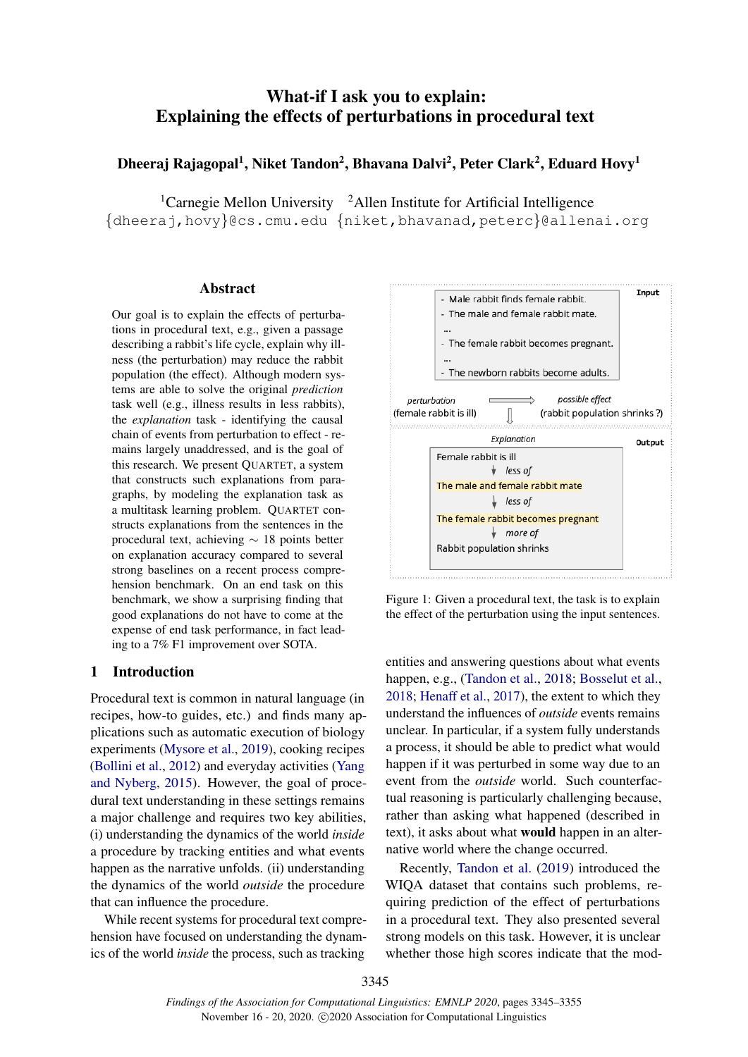# What-if I ask you to explain: Explaining the effects of perturbations in procedural text

## Dheeraj Rajagopal $^1$ , Niket Tandon $^2$ , Bhavana Dalvi $^2$ , Peter Clark $^2$ , Eduard Hovy $^1$

 ${}^{1}$ Carnegie Mellon University  ${}^{2}$ Allen Institute for Artificial Intelligence {dheeraj,hovy}@cs.cmu.edu {niket,bhavanad,peterc}@allenai.org

### Abstract

Our goal is to explain the effects of perturbations in procedural text, e.g., given a passage describing a rabbit's life cycle, explain why illness (the perturbation) may reduce the rabbit population (the effect). Although modern systems are able to solve the original *prediction* task well (e.g., illness results in less rabbits), the *explanation* task - identifying the causal chain of events from perturbation to effect - remains largely unaddressed, and is the goal of this research. We present QUARTET, a system that constructs such explanations from paragraphs, by modeling the explanation task as a multitask learning problem. QUARTET constructs explanations from the sentences in the procedural text, achieving ∼ 18 points better on explanation accuracy compared to several strong baselines on a recent process comprehension benchmark. On an end task on this benchmark, we show a surprising finding that good explanations do not have to come at the expense of end task performance, in fact leading to a 7% F1 improvement over SOTA.

### 1 Introduction

Procedural text is common in natural language (in recipes, how-to guides, etc.) and finds many applications such as automatic execution of biology experiments [\(Mysore et al.,](#page-9-0) [2019\)](#page-9-0), cooking recipes [\(Bollini et al.,](#page-8-0) [2012\)](#page-8-0) and everyday activities [\(Yang](#page-9-1) [and Nyberg,](#page-9-1) [2015\)](#page-9-1). However, the goal of procedural text understanding in these settings remains a major challenge and requires two key abilities, (i) understanding the dynamics of the world *inside* a procedure by tracking entities and what events happen as the narrative unfolds. (ii) understanding the dynamics of the world *outside* the procedure that can influence the procedure.

While recent systems for procedural text comprehension have focused on understanding the dynamics of the world *inside* the process, such as tracking

<span id="page-0-0"></span>

Figure 1: Given a procedural text, the task is to explain the effect of the perturbation using the input sentences.

entities and answering questions about what events happen, e.g., [\(Tandon et al.,](#page-9-2) [2018;](#page-9-2) [Bosselut et al.,](#page-8-1) [2018;](#page-8-1) [Henaff et al.,](#page-9-3) [2017\)](#page-9-3), the extent to which they understand the influences of *outside* events remains unclear. In particular, if a system fully understands a process, it should be able to predict what would happen if it was perturbed in some way due to an event from the *outside* world. Such counterfactual reasoning is particularly challenging because, rather than asking what happened (described in text), it asks about what would happen in an alternative world where the change occurred.

Recently, [Tandon et al.](#page-9-4) [\(2019\)](#page-9-4) introduced the WIQA dataset that contains such problems, requiring prediction of the effect of perturbations in a procedural text. They also presented several strong models on this task. However, it is unclear whether those high scores indicate that the mod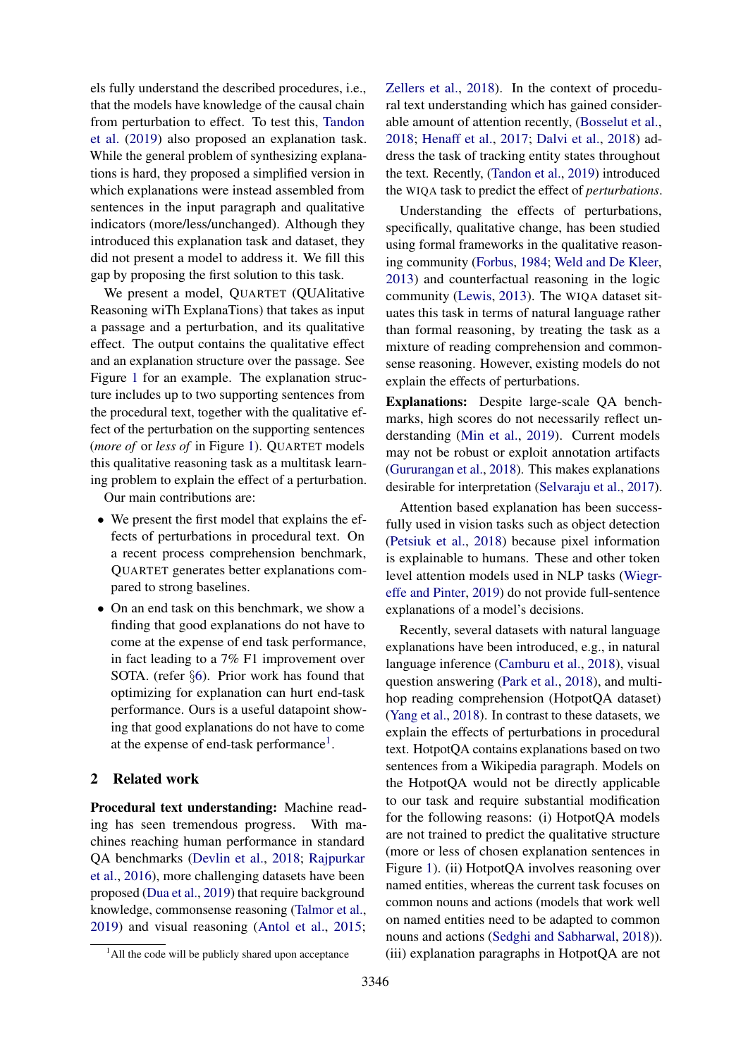els fully understand the described procedures, i.e., that the models have knowledge of the causal chain from perturbation to effect. To test this, [Tandon](#page-9-4) [et al.](#page-9-4) [\(2019\)](#page-9-4) also proposed an explanation task. While the general problem of synthesizing explanations is hard, they proposed a simplified version in which explanations were instead assembled from sentences in the input paragraph and qualitative indicators (more/less/unchanged). Although they introduced this explanation task and dataset, they did not present a model to address it. We fill this gap by proposing the first solution to this task.

We present a model, QUARTET (QUAlitative Reasoning wiTh ExplanaTions) that takes as input a passage and a perturbation, and its qualitative effect. The output contains the qualitative effect and an explanation structure over the passage. See Figure [1](#page-0-0) for an example. The explanation structure includes up to two supporting sentences from the procedural text, together with the qualitative effect of the perturbation on the supporting sentences (*more of* or *less of* in Figure [1\)](#page-0-0). QUARTET models this qualitative reasoning task as a multitask learning problem to explain the effect of a perturbation.

Our main contributions are:

- We present the first model that explains the effects of perturbations in procedural text. On a recent process comprehension benchmark, QUARTET generates better explanations compared to strong baselines.
- On an end task on this benchmark, we show a finding that good explanations do not have to come at the expense of end task performance, in fact leading to a 7% F1 improvement over SOTA. (refer §[6\)](#page-5-0). Prior work has found that optimizing for explanation can hurt end-task performance. Ours is a useful datapoint showing that good explanations do not have to come at the expense of end-task performance<sup>[1](#page-1-0)</sup>.

## 2 Related work

Procedural text understanding: Machine reading has seen tremendous progress. With machines reaching human performance in standard QA benchmarks [\(Devlin et al.,](#page-8-2) [2018;](#page-8-2) [Rajpurkar](#page-9-5) [et al.,](#page-9-5) [2016\)](#page-9-5), more challenging datasets have been proposed [\(Dua et al.,](#page-8-3) [2019\)](#page-8-3) that require background knowledge, commonsense reasoning [\(Talmor et al.,](#page-9-6) [2019\)](#page-9-6) and visual reasoning [\(Antol et al.,](#page-8-4) [2015;](#page-8-4) [Zellers et al.,](#page-9-7) [2018\)](#page-9-7). In the context of procedural text understanding which has gained considerable amount of attention recently, [\(Bosselut et al.,](#page-8-1) [2018;](#page-8-1) [Henaff et al.,](#page-9-3) [2017;](#page-9-3) [Dalvi et al.,](#page-8-5) [2018\)](#page-8-5) address the task of tracking entity states throughout the text. Recently, [\(Tandon et al.,](#page-9-4) [2019\)](#page-9-4) introduced the WIQA task to predict the effect of *perturbations*.

Understanding the effects of perturbations, specifically, qualitative change, has been studied using formal frameworks in the qualitative reasoning community [\(Forbus,](#page-8-6) [1984;](#page-8-6) [Weld and De Kleer,](#page-9-8) [2013\)](#page-9-8) and counterfactual reasoning in the logic community [\(Lewis,](#page-9-9) [2013\)](#page-9-9). The WIQA dataset situates this task in terms of natural language rather than formal reasoning, by treating the task as a mixture of reading comprehension and commonsense reasoning. However, existing models do not explain the effects of perturbations.

Explanations: Despite large-scale QA benchmarks, high scores do not necessarily reflect understanding [\(Min et al.,](#page-9-10) [2019\)](#page-9-10). Current models may not be robust or exploit annotation artifacts [\(Gururangan et al.,](#page-9-11) [2018\)](#page-9-11). This makes explanations desirable for interpretation [\(Selvaraju et al.,](#page-9-12) [2017\)](#page-9-12).

Attention based explanation has been successfully used in vision tasks such as object detection [\(Petsiuk et al.,](#page-9-13) [2018\)](#page-9-13) because pixel information is explainable to humans. These and other token level attention models used in NLP tasks [\(Wiegr](#page-9-14)[effe and Pinter,](#page-9-14) [2019\)](#page-9-14) do not provide full-sentence explanations of a model's decisions.

Recently, several datasets with natural language explanations have been introduced, e.g., in natural language inference [\(Camburu et al.,](#page-8-7) [2018\)](#page-8-7), visual question answering [\(Park et al.,](#page-9-15) [2018\)](#page-9-15), and multihop reading comprehension (HotpotQA dataset) [\(Yang et al.,](#page-9-16) [2018\)](#page-9-16). In contrast to these datasets, we explain the effects of perturbations in procedural text. HotpotQA contains explanations based on two sentences from a Wikipedia paragraph. Models on the HotpotQA would not be directly applicable to our task and require substantial modification for the following reasons: (i) HotpotQA models are not trained to predict the qualitative structure (more or less of chosen explanation sentences in Figure [1\)](#page-0-0). (ii) HotpotQA involves reasoning over named entities, whereas the current task focuses on common nouns and actions (models that work well on named entities need to be adapted to common nouns and actions [\(Sedghi and Sabharwal,](#page-9-17) [2018\)](#page-9-17)). (iii) explanation paragraphs in HotpotQA are not

<span id="page-1-0"></span><sup>&</sup>lt;sup>1</sup>All the code will be publicly shared upon acceptance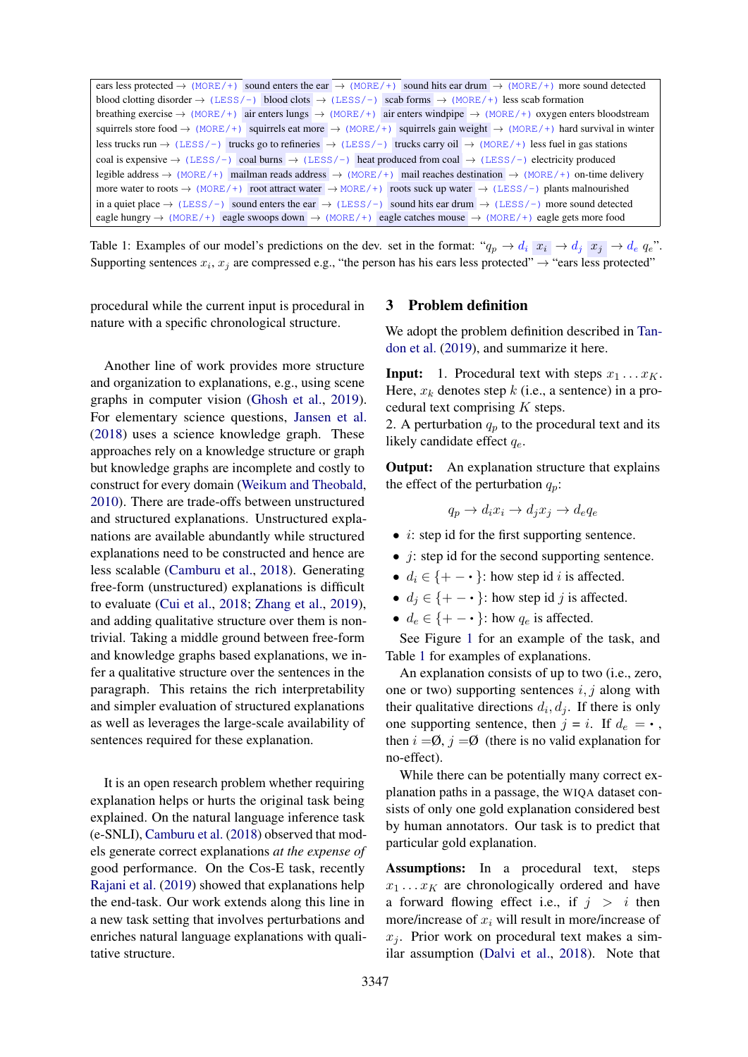```
ears less protected \rightarrow (MORE/+) sound enters the ear \rightarrow (MORE/+) sound hits ear drum \rightarrow (MORE/+) more sound detected
blood clotting disorder \rightarrow (LESS/-) blood clots \rightarrow (LESS/-) scab forms \rightarrow (MORE/+) less scab formation
breathing exercise \rightarrow (MORE/+) air enters lungs \rightarrow (MORE/+) air enters windpipe \rightarrow (MORE/+) oxygen enters bloodstream
squirrels store food \rightarrow (MORE/+) squirrels eat more \rightarrow (MORE/+) squirrels gain weight \rightarrow (MORE/+) hard survival in winter
less trucks run \rightarrow (LESS/-) trucks go to refineries \rightarrow (LESS/-) trucks carry oil \rightarrow (MORE/+) less fuel in gas stations
coal is expensive \rightarrow (LESS/-) coal burns \rightarrow (LESS/-) heat produced from coal \rightarrow (LESS/-) electricity produced
legible address \rightarrow (MORE/+) mailman reads address \rightarrow (MORE/+) mail reaches destination \rightarrow (MORE/+) on-time delivery
more water to roots \rightarrow (MORE/+) root attract water \rightarrow MORE/+) roots suck up water \rightarrow (LESS/-) plants malnourished
in a quiet place \rightarrow (LESS/-) sound enters the ear \rightarrow (LESS/-) sound hits ear drum \rightarrow (LESS/-) more sound detected
eagle hungry \rightarrow (MORE/+) eagle swoops down \rightarrow (MORE/+) eagle catches mouse \rightarrow (MORE/+) eagle gets more food
```
Table 1: Examples of our model's predictions on the dev. set in the format: " $q_p \rightarrow d_i \ x_i \rightarrow d_j \ x_j \rightarrow d_e \ q_e$ ". Supporting sentences  $x_i$ ,  $x_j$  are compressed e.g., "the person has his ears less protected"  $\rightarrow$  "ears less protected"

procedural while the current input is procedural in nature with a specific chronological structure.

Another line of work provides more structure and organization to explanations, e.g., using scene graphs in computer vision [\(Ghosh et al.,](#page-8-8) [2019\)](#page-8-8). For elementary science questions, [Jansen et al.](#page-9-18) [\(2018\)](#page-9-18) uses a science knowledge graph. These approaches rely on a knowledge structure or graph but knowledge graphs are incomplete and costly to construct for every domain [\(Weikum and Theobald,](#page-9-19) [2010\)](#page-9-19). There are trade-offs between unstructured and structured explanations. Unstructured explanations are available abundantly while structured explanations need to be constructed and hence are less scalable [\(Camburu et al.,](#page-8-7) [2018\)](#page-8-7). Generating free-form (unstructured) explanations is difficult to evaluate [\(Cui et al.,](#page-8-9) [2018;](#page-8-9) [Zhang et al.,](#page-9-20) [2019\)](#page-9-20), and adding qualitative structure over them is nontrivial. Taking a middle ground between free-form and knowledge graphs based explanations, we infer a qualitative structure over the sentences in the paragraph. This retains the rich interpretability and simpler evaluation of structured explanations as well as leverages the large-scale availability of sentences required for these explanation.

It is an open research problem whether requiring explanation helps or hurts the original task being explained. On the natural language inference task (e-SNLI), [Camburu et al.](#page-8-7) [\(2018\)](#page-8-7) observed that models generate correct explanations *at the expense of* good performance. On the Cos-E task, recently [Rajani et al.](#page-9-21) [\(2019\)](#page-9-21) showed that explanations help the end-task. Our work extends along this line in a new task setting that involves perturbations and enriches natural language explanations with qualitative structure.

### <span id="page-2-1"></span>3 Problem definition

We adopt the problem definition described in [Tan](#page-9-4)[don et al.](#page-9-4) [\(2019\)](#page-9-4), and summarize it here.

**Input:** 1. Procedural text with steps  $x_1 \ldots x_K$ . Here,  $x_k$  denotes step k (i.e., a sentence) in a procedural text comprising  $K$  steps.

2. A perturbation  $q_p$  to the procedural text and its likely candidate effect  $q_e$ .

**Output:** An explanation structure that explains the effect of the perturbation  $q_p$ :

$$
q_p \to d_i x_i \to d_j x_j \to d_e q_e
$$

- $i$ : step id for the first supporting sentence.
- $j$ : step id for the second supporting sentence.
- $d_i \in \{+-\}$ : how step id *i* is affected.
- $d_i \in \{+-\}$ : how step id j is affected.
- $d_e \in \{+-\}$ : how  $q_e$  is affected.

See Figure [1](#page-0-0) for an example of the task, and Table [1](#page-2-0) for examples of explanations.

An explanation consists of up to two (i.e., zero, one or two) supporting sentences  $i, j$  along with their qualitative directions  $d_i, d_j$ . If there is only one supporting sentence, then  $j = i$ . If  $d_e = \cdot$ , then  $i = \emptyset$ ,  $j = \emptyset$  (there is no valid explanation for no-effect).

While there can be potentially many correct explanation paths in a passage, the WIQA dataset consists of only one gold explanation considered best by human annotators. Our task is to predict that particular gold explanation.

Assumptions: In a procedural text, steps  $x_1 \dots x_K$  are chronologically ordered and have a forward flowing effect i.e., if  $j > i$  then more/increase of  $x_i$  will result in more/increase of  $x_i$ . Prior work on procedural text makes a similar assumption [\(Dalvi et al.,](#page-8-5) [2018\)](#page-8-5). Note that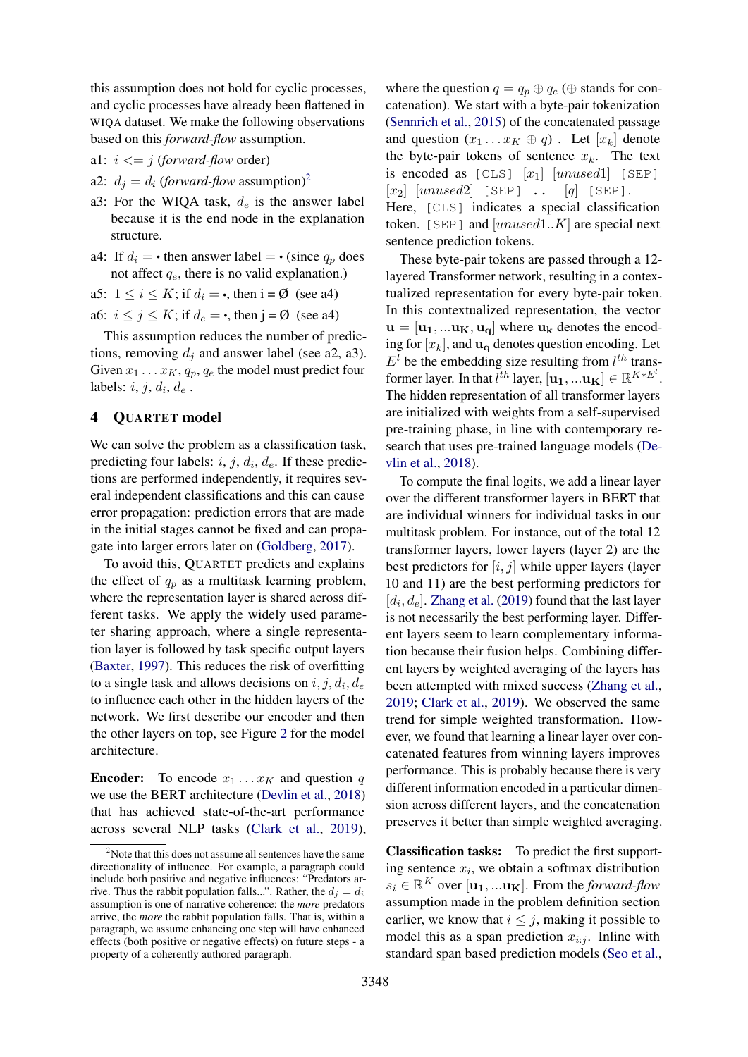this assumption does not hold for cyclic processes, and cyclic processes have already been flattened in WIQA dataset. We make the following observations based on this *forward-flow* assumption.

- a1:  $i \leq j$  (*forward-flow* order)
- a[2](#page-3-0):  $d_i = d_i$  (*forward-flow* assumption)<sup>2</sup>
- a3: For the WIQA task,  $d_e$  is the answer label because it is the end node in the explanation structure.
- a4: If  $d_i = \cdot$  then answer label  $= \cdot$  (since  $q_p$  does not affect  $q_e$ , there is no valid explanation.)

a5:  $1 \le i \le K$ ; if  $d_i = \cdot$ , then  $i = \emptyset$  (see a4)

a6:  $i \le j \le K$ ; if  $d_e = \cdot$ , then  $j = \emptyset$  (see a4)

This assumption reduces the number of predictions, removing  $d_i$  and answer label (see a2, a3). Given  $x_1 \ldots x_K$ ,  $q_p$ ,  $q_e$  the model must predict four labels:  $i, j, d_i, d_e$ .

### <span id="page-3-1"></span>4 QUARTET model

We can solve the problem as a classification task, predicting four labels:  $i, j, d_i, d_e$ . If these predictions are performed independently, it requires several independent classifications and this can cause error propagation: prediction errors that are made in the initial stages cannot be fixed and can propagate into larger errors later on [\(Goldberg,](#page-8-10) [2017\)](#page-8-10).

To avoid this, QUARTET predicts and explains the effect of  $q_p$  as a multitask learning problem, where the representation layer is shared across different tasks. We apply the widely used parameter sharing approach, where a single representation layer is followed by task specific output layers [\(Baxter,](#page-8-11) [1997\)](#page-8-11). This reduces the risk of overfitting to a single task and allows decisions on  $i, j, d_i, d_e$ to influence each other in the hidden layers of the network. We first describe our encoder and then the other layers on top, see Figure [2](#page-4-0) for the model architecture.

**Encoder:** To encode  $x_1 \ldots x_K$  and question q we use the BERT architecture [\(Devlin et al.,](#page-8-2) [2018\)](#page-8-2) that has achieved state-of-the-art performance across several NLP tasks [\(Clark et al.,](#page-8-12) [2019\)](#page-8-12), where the question  $q = q_p \oplus q_e$  ( $\oplus$  stands for concatenation). We start with a byte-pair tokenization [\(Sennrich et al.,](#page-9-22) [2015\)](#page-9-22) of the concatenated passage and question  $(x_1 \ldots x_K \oplus q)$ . Let  $[x_k]$  denote the byte-pair tokens of sentence  $x_k$ . The text is encoded as  $[CLS] [x_1] [unused1] [SEP]$  $[x_2]$   $[unused2]$   $[SEP]$  ..  $[q]$   $[SEP]$ . Here, [CLS] indicates a special classification token. [SEP] and  $[unused1..K]$  are special next sentence prediction tokens.

These byte-pair tokens are passed through a 12 layered Transformer network, resulting in a contextualized representation for every byte-pair token. In this contextualized representation, the vector  $u = [u_1, ... u_K, u_\alpha]$  where  $u_k$  denotes the encoding for  $[x_k]$ , and  $\mathbf{u}_q$  denotes question encoding. Let  $E<sup>l</sup>$  be the embedding size resulting from  $l<sup>th</sup>$  transformer layer. In that  $l^{th}$  layer,  $[\mathbf{u_1}, ... \mathbf{u_K}] \in \mathbb{R}^{K \times E^l}$ . The hidden representation of all transformer layers are initialized with weights from a self-supervised pre-training phase, in line with contemporary research that uses pre-trained language models [\(De](#page-8-2)[vlin et al.,](#page-8-2) [2018\)](#page-8-2).

To compute the final logits, we add a linear layer over the different transformer layers in BERT that are individual winners for individual tasks in our multitask problem. For instance, out of the total 12 transformer layers, lower layers (layer 2) are the best predictors for  $[i, j]$  while upper layers (layer 10 and 11) are the best performing predictors for  $[d_i, d_e]$ . [Zhang et al.](#page-9-20) [\(2019\)](#page-9-20) found that the last layer is not necessarily the best performing layer. Different layers seem to learn complementary information because their fusion helps. Combining different layers by weighted averaging of the layers has been attempted with mixed success [\(Zhang et al.,](#page-9-20) [2019;](#page-9-20) [Clark et al.,](#page-8-12) [2019\)](#page-8-12). We observed the same trend for simple weighted transformation. However, we found that learning a linear layer over concatenated features from winning layers improves performance. This is probably because there is very different information encoded in a particular dimension across different layers, and the concatenation preserves it better than simple weighted averaging.

Classification tasks: To predict the first supporting sentence  $x_i$ , we obtain a softmax distribution  $s_i \in \mathbb{R}^K$  over  $[\mathbf{u_1}, \dots \mathbf{u_K}]$ . From the *forward-flow* assumption made in the problem definition section earlier, we know that  $i \leq j$ , making it possible to model this as a span prediction  $x_{i:j}$ . Inline with standard span based prediction models [\(Seo et al.,](#page-9-23)

<span id="page-3-0"></span> $2$ Note that this does not assume all sentences have the same directionality of influence. For example, a paragraph could include both positive and negative influences: "Predators arrive. Thus the rabbit population falls...". Rather, the  $d_i = d_i$ assumption is one of narrative coherence: the *more* predators arrive, the *more* the rabbit population falls. That is, within a paragraph, we assume enhancing one step will have enhanced effects (both positive or negative effects) on future steps - a property of a coherently authored paragraph.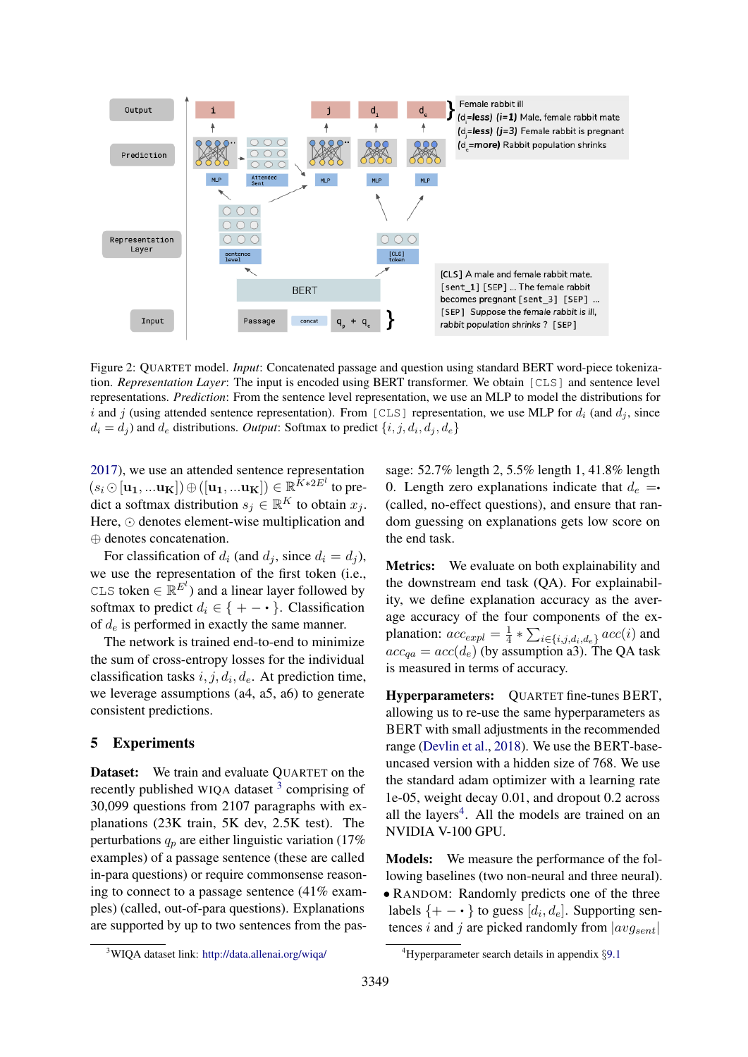<span id="page-4-0"></span>

Figure 2: QUARTET model. *Input*: Concatenated passage and question using standard BERT word-piece tokenization. *Representation Layer*: The input is encoded using BERT transformer. We obtain [CLS] and sentence level representations. *Prediction*: From the sentence level representation, we use an MLP to model the distributions for i and j (using attended sentence representation). From [CLS] representation, we use MLP for  $d_i$  (and  $d_j$ , since  $d_i = d_j$ ) and  $d_e$  distributions. *Output*: Softmax to predict  $\{i, j, d_i, d_j, d_e\}$ 

[2017\)](#page-9-23), we use an attended sentence representation  $(s_i \odot [\mathbf{u_1}, ... \mathbf{u_K}]) \oplus ([\mathbf{u_1}, ... \mathbf{u_K}]) \in \mathbb{R}^{\tilde{K} * 2E^l}$  to predict a softmax distribution  $s_j \in \mathbb{R}^K$  to obtain  $x_j$ . Here,  $\odot$  denotes element-wise multiplication and ⊕ denotes concatenation.

For classification of  $d_i$  (and  $d_j$ , since  $d_i = d_j$ ), we use the representation of the first token (i.e., CLS token  $\in \mathbb{R}^{E^l}$ ) and a linear layer followed by softmax to predict  $d_i \in \{ + - \cdot \}$ . Classification of  $d_e$  is performed in exactly the same manner.

The network is trained end-to-end to minimize the sum of cross-entropy losses for the individual classification tasks  $i, j, d_i, d_e$ . At prediction time, we leverage assumptions (a4, a5, a6) to generate consistent predictions.

### 5 Experiments

Dataset: We train and evaluate QUARTET on the recently published WIQA dataset <sup>[3](#page-4-1)</sup> comprising of 30,099 questions from 2107 paragraphs with explanations (23K train, 5K dev, 2.5K test). The perturbations  $q_p$  are either linguistic variation (17%) examples) of a passage sentence (these are called in-para questions) or require commonsense reasoning to connect to a passage sentence (41% examples) (called, out-of-para questions). Explanations are supported by up to two sentences from the pas-

sage: 52.7% length 2, 5.5% length 1, 41.8% length 0. Length zero explanations indicate that  $d_e = \cdot$ (called, no-effect questions), and ensure that random guessing on explanations gets low score on the end task.

Metrics: We evaluate on both explainability and the downstream end task (QA). For explainability, we define explanation accuracy as the average accuracy of the four components of the explanation:  $acc_{expl} = \frac{1}{4}$  $\frac{1}{4} * \sum_{i \in \{i,j,d_i,d_e\}} acc(i)$  and  $acc_{qa} = acc(d_e)$  (by assumption a3). The QA task is measured in terms of accuracy.

Hyperparameters: QUARTET fine-tunes BERT, allowing us to re-use the same hyperparameters as BERT with small adjustments in the recommended range [\(Devlin et al.,](#page-8-2) [2018\)](#page-8-2). We use the BERT-baseuncased version with a hidden size of 768. We use the standard adam optimizer with a learning rate 1e-05, weight decay 0.01, and dropout 0.2 across all the layers<sup>[4](#page-4-2)</sup>. All the models are trained on an NVIDIA V-100 GPU.

Models: We measure the performance of the following baselines (two non-neural and three neural). • RANDOM: Randomly predicts one of the three labels  $\{+ - \cdot\}$  to guess  $[d_i, d_e]$ . Supporting sentences i and j are picked randomly from  $|avg_{sent}|$ 

<span id="page-4-1"></span><sup>3</sup>WIQA dataset link: <http://data.allenai.org/wiqa/>

<span id="page-4-2"></span> $4$ Hyperparameter search details in appendix  $\S$ [9.1](#page-10-0)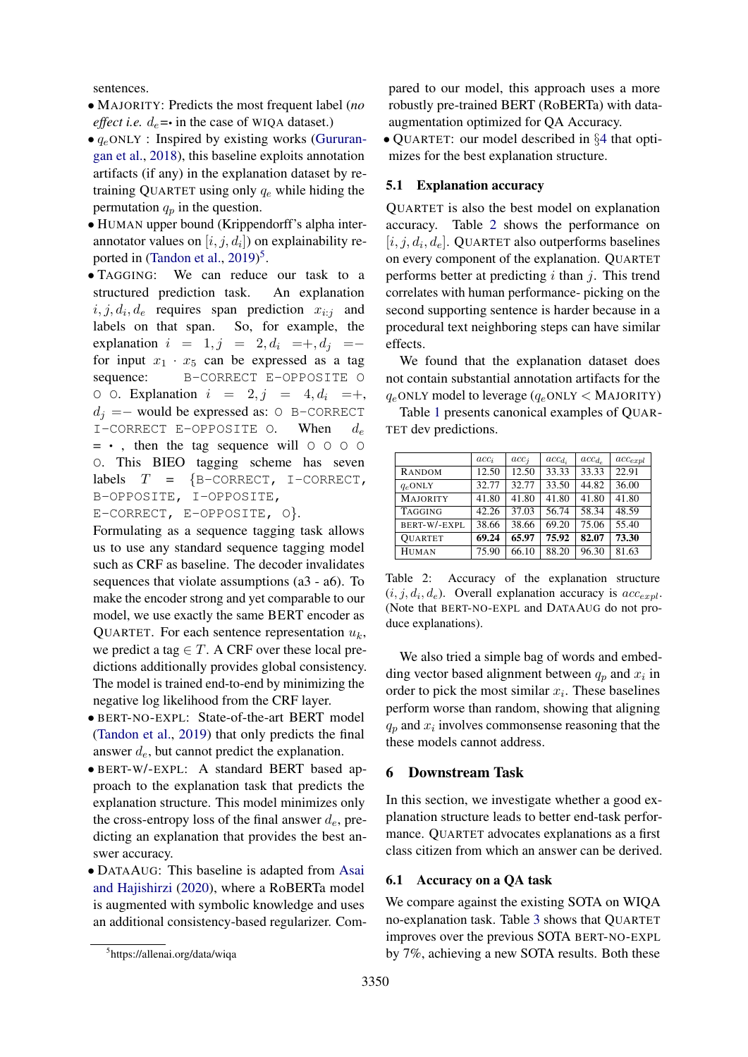sentences.

- MAJORITY: Predicts the most frequent label (*no effect i.e.*  $d_e = \cdot$  in the case of WIQA dataset.)
- $\bullet$   $q_e$ ONLY : Inspired by existing works [\(Gururan](#page-9-11)[gan et al.,](#page-9-11) [2018\)](#page-9-11), this baseline exploits annotation artifacts (if any) in the explanation dataset by retraining QUARTET using only  $q_e$  while hiding the permutation  $q_p$  in the question.
- HUMAN upper bound (Krippendorff's alpha interannotator values on  $[i, j, d_i]$ ) on explainability re-ported in [\(Tandon et al.,](#page-9-4) [2019\)](#page-9-4)<sup>[5](#page-5-1)</sup>.
- TAGGING: We can reduce our task to a structured prediction task. An explanation  $i, j, d_i, d_e$  requires span prediction  $x_{i:j}$  and labels on that span. So, for example, the explanation  $i = 1, j = 2, d_i =+, d_j =$ for input  $x_1 \cdot x_5$  can be expressed as a tag sequence: B-CORRECT E-OPPOSITE O  $\circ$   $\circ$ . Explanation  $i = 2, j = 4, d_i = +$ ,  $d_i =$  would be expressed as: O B-CORRECT I-CORRECT E-OPPOSITE O. When  $d_e$  $= \cdot$ , then the tag sequence will  $\circ \circ \circ \circ$ O. This BIEO tagging scheme has seven labels  $T = \{B-CORRECT, I-CORRECT,$ B-OPPOSITE, I-OPPOSITE,
- E-CORRECT, E-OPPOSITE, O}.

Formulating as a sequence tagging task allows us to use any standard sequence tagging model such as CRF as baseline. The decoder invalidates sequences that violate assumptions (a3 - a6). To make the encoder strong and yet comparable to our model, we use exactly the same BERT encoder as QUARTET. For each sentence representation  $u_k$ , we predict a tag  $\in T$ . A CRF over these local predictions additionally provides global consistency. The model is trained end-to-end by minimizing the negative log likelihood from the CRF layer.

- BERT-NO-EXPL: State-of-the-art BERT model [\(Tandon et al.,](#page-9-4) [2019\)](#page-9-4) that only predicts the final answer  $d_e$ , but cannot predict the explanation.
- BERT-W/-EXPL: A standard BERT based approach to the explanation task that predicts the explanation structure. This model minimizes only the cross-entropy loss of the final answer  $d_e$ , predicting an explanation that provides the best answer accuracy.
- DATAAUG: This baseline is adapted from [Asai](#page-8-13) [and Hajishirzi](#page-8-13) [\(2020\)](#page-8-13), where a RoBERTa model is augmented with symbolic knowledge and uses an additional consistency-based regularizer. Com-

• QUARTET: our model described in §[4](#page-3-1) that optimizes for the best explanation structure.

### 5.1 Explanation accuracy

QUARTET is also the best model on explanation accuracy. Table [2](#page-5-2) shows the performance on  $[i, j, d_i, d_e]$ . QUARTET also outperforms baselines on every component of the explanation. QUARTET performs better at predicting  $i$  than  $j$ . This trend correlates with human performance- picking on the second supporting sentence is harder because in a procedural text neighboring steps can have similar effects.

We found that the explanation dataset does not contain substantial annotation artifacts for the  $q_e$ ONLY model to leverage  $(q_e$ ONLY < MAJORITY)

Table [1](#page-2-0) presents canonical examples of QUAR-TET dev predictions.

<span id="page-5-2"></span>

|                 | $acc_i$ | $acc_i$ | $accd_i$ | $acc_{d_e}$ | $acc_{expl}$ |
|-----------------|---------|---------|----------|-------------|--------------|
| RANDOM          | 12.50   | 12.50   | 33.33    | 33.33       | 22.91        |
| $q_e$ ONLY      | 32.77   | 32.77   | 33.50    | 44.82       | 36.00        |
| <b>MAJORITY</b> | 41.80   | 41.80   | 41.80    | 41.80       | 41.80        |
| <b>TAGGING</b>  | 42.26   | 37.03   | 56.74    | 58.34       | 48.59        |
| BERT-W/-EXPL    | 38.66   | 38.66   | 69.20    | 75.06       | 55.40        |
| <b>QUARTET</b>  | 69.24   | 65.97   | 75.92    | 82.07       | 73.30        |
| HUMAN           | 75.90   | 66.10   | 88.20    | 96.30       | 81.63        |

Table 2: Accuracy of the explanation structure  $(i, j, d_i, d_e)$ . Overall explanation accuracy is  $acc_{expl}$ . (Note that BERT-NO-EXPL and DATAAUG do not produce explanations).

We also tried a simple bag of words and embedding vector based alignment between  $q_p$  and  $x_i$  in order to pick the most similar  $x_i$ . These baselines perform worse than random, showing that aligning  $q_p$  and  $x_i$  involves commonsense reasoning that the these models cannot address.

### <span id="page-5-0"></span>6 Downstream Task

In this section, we investigate whether a good explanation structure leads to better end-task performance. QUARTET advocates explanations as a first class citizen from which an answer can be derived.

#### 6.1 Accuracy on a QA task

We compare against the existing SOTA on WIQA no-explanation task. Table [3](#page-6-0) shows that QUARTET improves over the previous SOTA BERT-NO-EXPL by 7%, achieving a new SOTA results. Both these

pared to our model, this approach uses a more robustly pre-trained BERT (RoBERTa) with dataaugmentation optimized for QA Accuracy.

<span id="page-5-1"></span><sup>5</sup> https://allenai.org/data/wiqa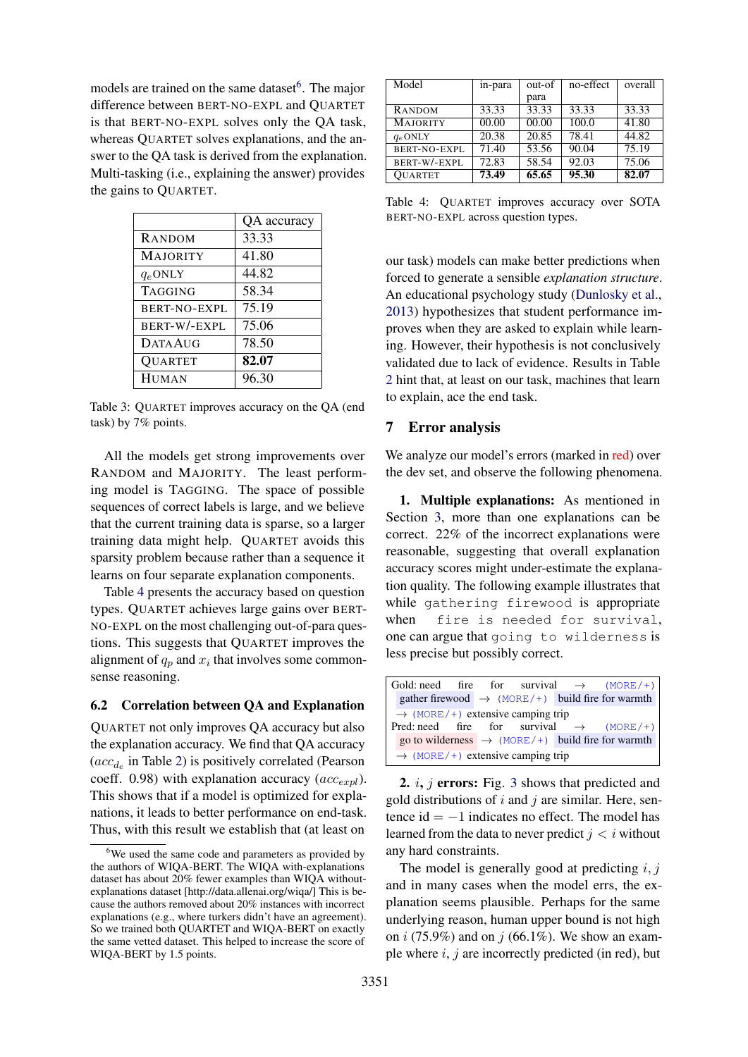models are trained on the same dataset<sup>[6](#page-6-1)</sup>. The major difference between BERT-NO-EXPL and QUARTET is that BERT-NO-EXPL solves only the QA task, whereas QUARTET solves explanations, and the answer to the QA task is derived from the explanation. Multi-tasking (i.e., explaining the answer) provides the gains to QUARTET.

<span id="page-6-0"></span>

|                 | QA accuracy |
|-----------------|-------------|
| <b>RANDOM</b>   | 33.33       |
| <b>MAJORITY</b> | 41.80       |
| $q_e$ ONLY      | 44.82       |
| <b>TAGGING</b>  | 58.34       |
| BERT-NO-EXPL    | 75.19       |
| BERT-W/-EXPL    | 75.06       |
| <b>DATAAUG</b>  | 78.50       |
| QUARTET         | 82.07       |
| <b>HUMAN</b>    | 96.30       |

Table 3: QUARTET improves accuracy on the QA (end task) by 7% points.

All the models get strong improvements over RANDOM and MAJORITY. The least performing model is TAGGING. The space of possible sequences of correct labels is large, and we believe that the current training data is sparse, so a larger training data might help. QUARTET avoids this sparsity problem because rather than a sequence it learns on four separate explanation components.

Table [4](#page-6-2) presents the accuracy based on question types. QUARTET achieves large gains over BERT-NO-EXPL on the most challenging out-of-para questions. This suggests that QUARTET improves the alignment of  $q_p$  and  $x_i$  that involves some commonsense reasoning.

### 6.2 Correlation between QA and Explanation

QUARTET not only improves QA accuracy but also the explanation accuracy. We find that QA accuracy  $(acc_{d_e}$  in Table [2\)](#page-5-2) is positively correlated (Pearson coeff. 0.98) with explanation accuracy  $(acc_{expl})$ . This shows that if a model is optimized for explanations, it leads to better performance on end-task. Thus, with this result we establish that (at least on

<span id="page-6-2"></span>

| Model               | in-para | out-of | no-effect | overall |
|---------------------|---------|--------|-----------|---------|
|                     |         | para   |           |         |
| <b>RANDOM</b>       | 33.33   | 33.33  | 33.33     | 33.33   |
| <b>MAJORITY</b>     | 00.00   | 00.00  | 100.0     | 41.80   |
| $q_e$ ONLY          | 20.38   | 20.85  | 78.41     | 44.82   |
| <b>BERT-NO-EXPL</b> | 71.40   | 53.56  | 90.04     | 75.19   |
| BERT-W/-EXPL        | 72.83   | 58.54  | 92.03     | 75.06   |
| <b>OUARTET</b>      | 73.49   | 65.65  | 95.30     | 82.07   |

Table 4: QUARTET improves accuracy over SOTA BERT-NO-EXPL across question types.

our task) models can make better predictions when forced to generate a sensible *explanation structure*. An educational psychology study [\(Dunlosky et al.,](#page-8-14) [2013\)](#page-8-14) hypothesizes that student performance improves when they are asked to explain while learning. However, their hypothesis is not conclusively validated due to lack of evidence. Results in Table [2](#page-5-2) hint that, at least on our task, machines that learn to explain, ace the end task.

### 7 Error analysis

We analyze our model's errors (marked in red) over the dev set, and observe the following phenomena.

1. Multiple explanations: As mentioned in Section [3,](#page-2-1) more than one explanations can be correct. 22% of the incorrect explanations were reasonable, suggesting that overall explanation accuracy scores might under-estimate the explanation quality. The following example illustrates that while gathering firewood is appropriate when fire is needed for survival, one can argue that going to wilderness is less precise but possibly correct.

|                                               |  |  |  |  | Gold: need fire for survival $\rightarrow$ (MORE/+)           |  |  |  |  |
|-----------------------------------------------|--|--|--|--|---------------------------------------------------------------|--|--|--|--|
|                                               |  |  |  |  | gather firewood $\rightarrow$ (MORE/+) build fire for warmth  |  |  |  |  |
| $\rightarrow$ (MORE/+) extensive camping trip |  |  |  |  |                                                               |  |  |  |  |
|                                               |  |  |  |  | Pred: need fire for survival $\rightarrow$ (MORE/+)           |  |  |  |  |
|                                               |  |  |  |  | go to wilderness $\rightarrow$ (MORE/+) build fire for warmth |  |  |  |  |
| $\rightarrow$ (MORE/+) extensive camping trip |  |  |  |  |                                                               |  |  |  |  |

2. i, j errors: Fig. [3](#page-7-0) shows that predicted and gold distributions of  $i$  and  $j$  are similar. Here, sentence id  $= -1$  indicates no effect. The model has learned from the data to never predict  $j < i$  without any hard constraints.

The model is generally good at predicting  $i, j$ and in many cases when the model errs, the explanation seems plausible. Perhaps for the same underlying reason, human upper bound is not high on  $i$  (75.9%) and on  $j$  (66.1%). We show an example where  $i, j$  are incorrectly predicted (in red), but

<span id="page-6-1"></span> $6$ We used the same code and parameters as provided by the authors of WIQA-BERT. The WIQA with-explanations dataset has about 20% fewer examples than WIQA withoutexplanations dataset [http://data.allenai.org/wiqa/] This is because the authors removed about 20% instances with incorrect explanations (e.g., where turkers didn't have an agreement). So we trained both QUARTET and WIQA-BERT on exactly the same vetted dataset. This helped to increase the score of WIQA-BERT by 1.5 points.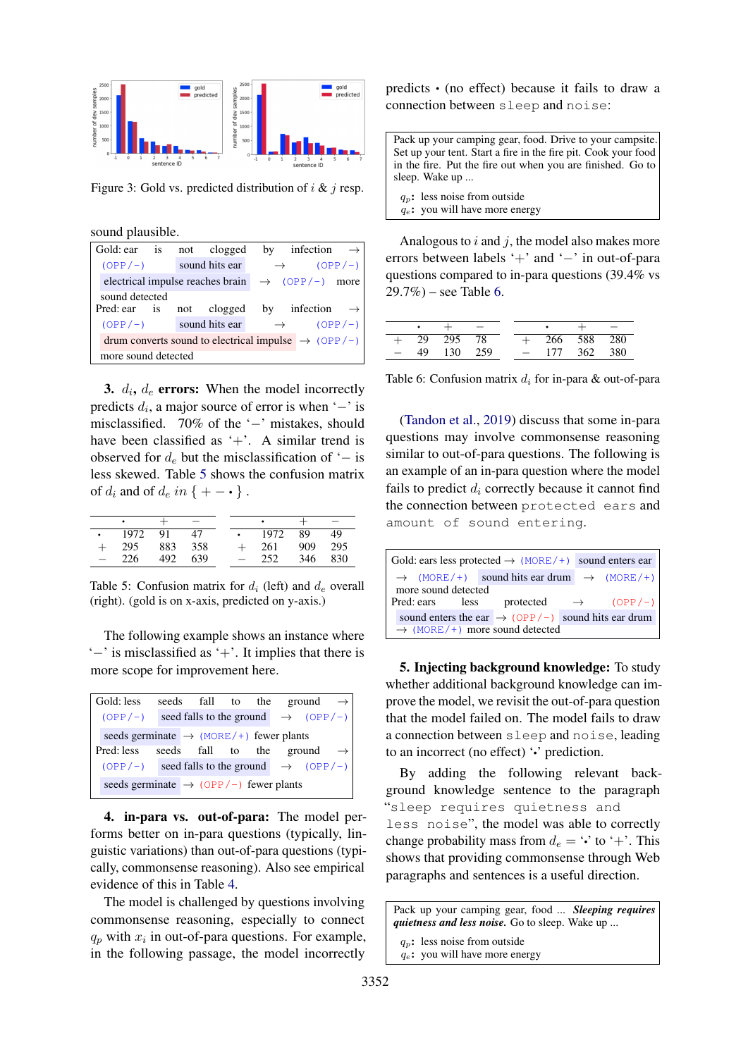<span id="page-7-0"></span>

Figure 3: Gold vs. predicted distribution of  $i \& j$  resp.

sound plausible.

| Gold: ear is                                                    |  |  | not clogged                      |  | by infection $\rightarrow$ |           |  |  |
|-----------------------------------------------------------------|--|--|----------------------------------|--|----------------------------|-----------|--|--|
| $(OPP/-)$                                                       |  |  | sound hits ear                   |  | $\rightarrow$              | $(OPP/-)$ |  |  |
|                                                                 |  |  | electrical impulse reaches brain |  | $\rightarrow$ (OPP/-) more |           |  |  |
| sound detected                                                  |  |  |                                  |  |                            |           |  |  |
| Pred: ear is                                                    |  |  | not clogged                      |  | by infection $\rightarrow$ |           |  |  |
| $(OPP/-)$                                                       |  |  | sound hits ear                   |  | $\rightarrow$              | $(OPP/-)$ |  |  |
| drum converts sound to electrical impulse $\rightarrow$ (OPP/-) |  |  |                                  |  |                            |           |  |  |
| more sound detected                                             |  |  |                                  |  |                            |           |  |  |

3.  $d_i$ ,  $d_e$  errors: When the model incorrectly predicts  $d_i$ , a major source of error is when ' $-$ ' is misclassified. 70% of the '−' mistakes, should have been classified as  $+$ . A similar trend is observed for  $d_e$  but the misclassification of '− is less skewed. Table [5](#page-7-1) shows the confusion matrix of  $d_i$  and of  $d_e$  in  $\{ + - \cdot \}$ .

<span id="page-7-1"></span>

|     |            |         |     |         |         | $\qquad \qquad -$ |
|-----|------------|---------|-----|---------|---------|-------------------|
|     | 1972 91 47 |         |     | 1972 89 |         | 49                |
| 295 | 883 358    |         | $+$ | 261     | 909 295 |                   |
| 226 |            | 492 639 | $-$ | 252     | 346 830 |                   |

Table 5: Confusion matrix for  $d_i$  (left) and  $d_e$  overall (right). (gold is on x-axis, predicted on y-axis.)

The following example shows an instance where '−' is misclassified as '+'. It implies that there is more scope for improvement here.

| Gold: less                                                 | seeds                                          |  |  |  |  | fall to the ground |  |
|------------------------------------------------------------|------------------------------------------------|--|--|--|--|--------------------|--|
| $(OPP/-)$                                                  | seed falls to the ground $\rightarrow$ (OPP/-) |  |  |  |  |                    |  |
| seeds germinate $\rightarrow$ (MORE/+) fewer plants        |                                                |  |  |  |  |                    |  |
|                                                            |                                                |  |  |  |  |                    |  |
| Pred: less                                                 | seeds fall to the ground                       |  |  |  |  |                    |  |
| $(OPP/-)$ seed falls to the ground $\rightarrow$ $(OPP/-)$ |                                                |  |  |  |  |                    |  |

4. in-para vs. out-of-para: The model performs better on in-para questions (typically, linguistic variations) than out-of-para questions (typically, commonsense reasoning). Also see empirical evidence of this in Table [4.](#page-6-2)

The model is challenged by questions involving commonsense reasoning, especially to connect  $q_p$  with  $x_i$  in out-of-para questions. For example, in the following passage, the model incorrectly predicts • (no effect) because it fails to draw a connection between sleep and noise:

Pack up your camping gear, food. Drive to your campsite. Set up your tent. Start a fire in the fire pit. Cook your food in the fire. Put the fire out when you are finished. Go to sleep. Wake up ...

 $q_p$ : less noise from outside

 $q_e$ : you will have more energy

Analogous to  $i$  and  $j$ , the model also makes more errors between labels '+' and '−' in out-of-para questions compared to in-para questions (39.4% vs 29.7%) – see Table [6.](#page-7-2)

<span id="page-7-2"></span>

|  | $+$ 29 295 78  |  |  | 266 588 280     |  |
|--|----------------|--|--|-----------------|--|
|  | $- 49$ 130 259 |  |  | $-$ 177 362 380 |  |

Table 6: Confusion matrix  $d_i$  for in-para & out-of-para

[\(Tandon et al.,](#page-9-4) [2019\)](#page-9-4) discuss that some in-para questions may involve commonsense reasoning similar to out-of-para questions. The following is an example of an in-para question where the model fails to predict  $d_i$  correctly because it cannot find the connection between protected ears and amount of sound entering.

|                                                 |                                                                |  |  |                                                                   |  | Gold: ears less protected $\rightarrow$ (MORE/+) sound enters ear |  |  |  |
|-------------------------------------------------|----------------------------------------------------------------|--|--|-------------------------------------------------------------------|--|-------------------------------------------------------------------|--|--|--|
|                                                 |                                                                |  |  | $\rightarrow$ (MORE/+) sound hits ear drum $\rightarrow$ (MORE/+) |  |                                                                   |  |  |  |
|                                                 | more sound detected                                            |  |  |                                                                   |  |                                                                   |  |  |  |
| Pred: ears less protected $\rightarrow$ (OPP/-) |                                                                |  |  |                                                                   |  |                                                                   |  |  |  |
|                                                 | sound enters the ear $\rightarrow$ (OPP/-) sound hits ear drum |  |  |                                                                   |  |                                                                   |  |  |  |
|                                                 | $\rightarrow$ (MORE/+) more sound detected                     |  |  |                                                                   |  |                                                                   |  |  |  |

5. Injecting background knowledge: To study whether additional background knowledge can improve the model, we revisit the out-of-para question that the model failed on. The model fails to draw a connection between sleep and noise, leading to an incorrect (no effect) '•' prediction.

By adding the following relevant background knowledge sentence to the paragraph "sleep requires quietness and less noise", the model was able to correctly change probability mass from  $d_e = \cdot \cdot$  to  $\cdot + \cdot$ . This shows that providing commonsense through Web paragraphs and sentences is a useful direction.

Pack up your camping gear, food ... *Sleeping requires quietness and less noise.* Go to sleep. Wake up ...

 $q_p$ : less noise from outside

```
q_e: you will have more energy
```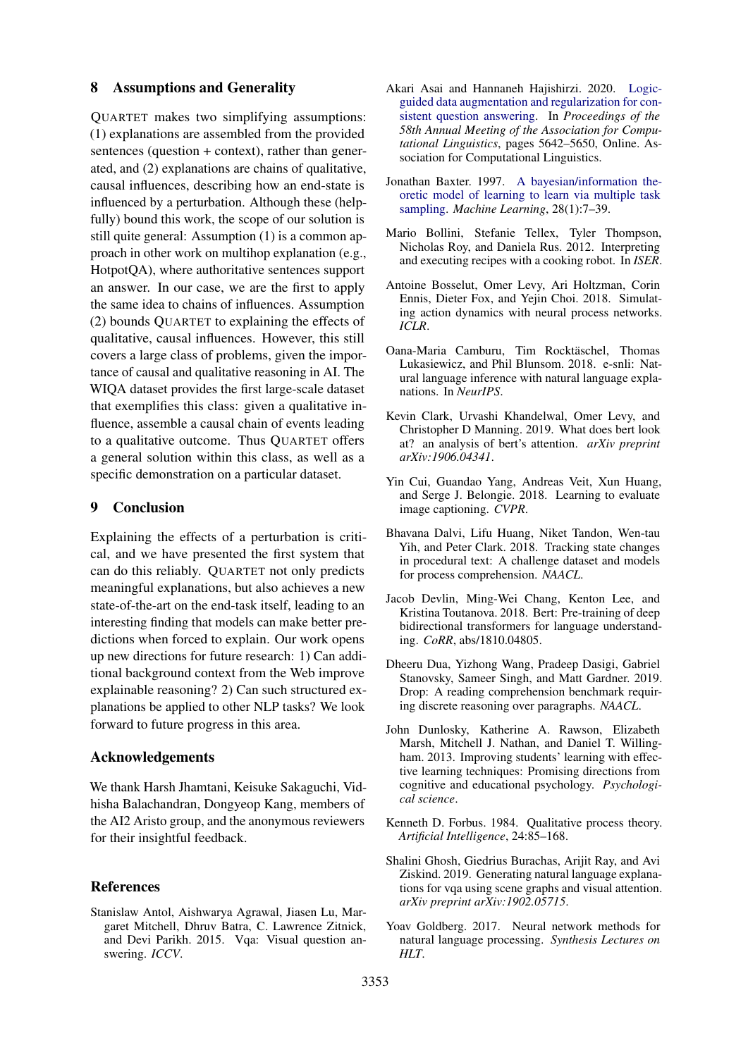### 8 Assumptions and Generality

QUARTET makes two simplifying assumptions: (1) explanations are assembled from the provided sentences (question + context), rather than generated, and (2) explanations are chains of qualitative, causal influences, describing how an end-state is influenced by a perturbation. Although these (helpfully) bound this work, the scope of our solution is still quite general: Assumption (1) is a common approach in other work on multihop explanation (e.g., HotpotQA), where authoritative sentences support an answer. In our case, we are the first to apply the same idea to chains of influences. Assumption (2) bounds QUARTET to explaining the effects of qualitative, causal influences. However, this still covers a large class of problems, given the importance of causal and qualitative reasoning in AI. The WIQA dataset provides the first large-scale dataset that exemplifies this class: given a qualitative influence, assemble a causal chain of events leading to a qualitative outcome. Thus QUARTET offers a general solution within this class, as well as a specific demonstration on a particular dataset.

### 9 Conclusion

Explaining the effects of a perturbation is critical, and we have presented the first system that can do this reliably. QUARTET not only predicts meaningful explanations, but also achieves a new state-of-the-art on the end-task itself, leading to an interesting finding that models can make better predictions when forced to explain. Our work opens up new directions for future research: 1) Can additional background context from the Web improve explainable reasoning? 2) Can such structured explanations be applied to other NLP tasks? We look forward to future progress in this area.

### Acknowledgements

We thank Harsh Jhamtani, Keisuke Sakaguchi, Vidhisha Balachandran, Dongyeop Kang, members of the AI2 Aristo group, and the anonymous reviewers for their insightful feedback.

### References

<span id="page-8-4"></span>Stanislaw Antol, Aishwarya Agrawal, Jiasen Lu, Margaret Mitchell, Dhruv Batra, C. Lawrence Zitnick, and Devi Parikh. 2015. Vqa: Visual question answering. *ICCV*.

- <span id="page-8-13"></span>Akari Asai and Hannaneh Hajishirzi. 2020. [Logic](https://doi.org/10.18653/v1/2020.acl-main.499)[guided data augmentation and regularization for con](https://doi.org/10.18653/v1/2020.acl-main.499)[sistent question answering.](https://doi.org/10.18653/v1/2020.acl-main.499) In *Proceedings of the 58th Annual Meeting of the Association for Computational Linguistics*, pages 5642–5650, Online. Association for Computational Linguistics.
- <span id="page-8-11"></span>Jonathan Baxter. 1997. [A bayesian/information the](https://doi.org/10.1023/A:1007327622663)[oretic model of learning to learn via multiple task](https://doi.org/10.1023/A:1007327622663) [sampling.](https://doi.org/10.1023/A:1007327622663) *Machine Learning*, 28(1):7–39.
- <span id="page-8-0"></span>Mario Bollini, Stefanie Tellex, Tyler Thompson, Nicholas Roy, and Daniela Rus. 2012. Interpreting and executing recipes with a cooking robot. In *ISER*.
- <span id="page-8-1"></span>Antoine Bosselut, Omer Levy, Ari Holtzman, Corin Ennis, Dieter Fox, and Yejin Choi. 2018. Simulating action dynamics with neural process networks. *ICLR*.
- <span id="page-8-7"></span>Oana-Maria Camburu, Tim Rocktäschel, Thomas Lukasiewicz, and Phil Blunsom. 2018. e-snli: Natural language inference with natural language explanations. In *NeurIPS*.
- <span id="page-8-12"></span>Kevin Clark, Urvashi Khandelwal, Omer Levy, and Christopher D Manning. 2019. What does bert look at? an analysis of bert's attention. *arXiv preprint arXiv:1906.04341*.
- <span id="page-8-9"></span>Yin Cui, Guandao Yang, Andreas Veit, Xun Huang, and Serge J. Belongie. 2018. Learning to evaluate image captioning. *CVPR*.
- <span id="page-8-5"></span>Bhavana Dalvi, Lifu Huang, Niket Tandon, Wen-tau Yih, and Peter Clark. 2018. Tracking state changes in procedural text: A challenge dataset and models for process comprehension. *NAACL*.
- <span id="page-8-2"></span>Jacob Devlin, Ming-Wei Chang, Kenton Lee, and Kristina Toutanova. 2018. Bert: Pre-training of deep bidirectional transformers for language understanding. *CoRR*, abs/1810.04805.
- <span id="page-8-3"></span>Dheeru Dua, Yizhong Wang, Pradeep Dasigi, Gabriel Stanovsky, Sameer Singh, and Matt Gardner. 2019. Drop: A reading comprehension benchmark requiring discrete reasoning over paragraphs. *NAACL*.
- <span id="page-8-14"></span>John Dunlosky, Katherine A. Rawson, Elizabeth Marsh, Mitchell J. Nathan, and Daniel T. Willingham. 2013. Improving students' learning with effective learning techniques: Promising directions from cognitive and educational psychology. *Psychological science*.
- <span id="page-8-6"></span>Kenneth D. Forbus. 1984. Qualitative process theory. *Artificial Intelligence*, 24:85–168.
- <span id="page-8-8"></span>Shalini Ghosh, Giedrius Burachas, Arijit Ray, and Avi Ziskind. 2019. Generating natural language explanations for vqa using scene graphs and visual attention. *arXiv preprint arXiv:1902.05715*.
- <span id="page-8-10"></span>Yoav Goldberg. 2017. Neural network methods for natural language processing. *Synthesis Lectures on HLT*.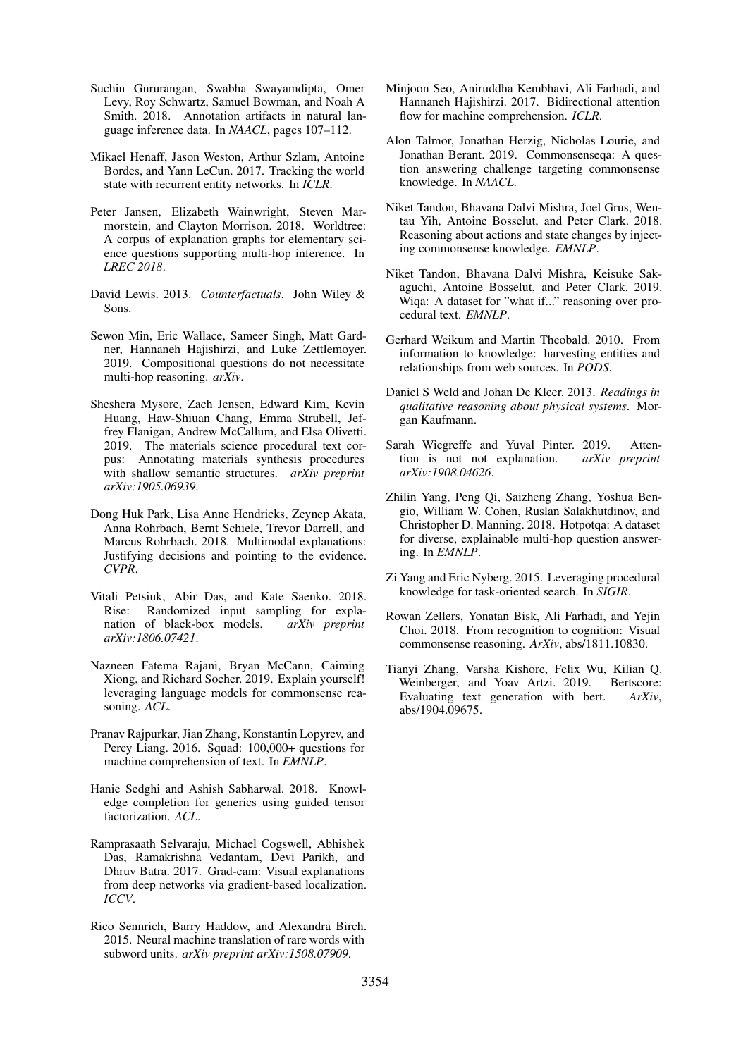- <span id="page-9-11"></span>Suchin Gururangan, Swabha Swayamdipta, Omer Levy, Roy Schwartz, Samuel Bowman, and Noah A Smith. 2018. Annotation artifacts in natural language inference data. In *NAACL*, pages 107–112.
- <span id="page-9-3"></span>Mikael Henaff, Jason Weston, Arthur Szlam, Antoine Bordes, and Yann LeCun. 2017. Tracking the world state with recurrent entity networks. In *ICLR*.
- <span id="page-9-18"></span>Peter Jansen, Elizabeth Wainwright, Steven Marmorstein, and Clayton Morrison. 2018. Worldtree: A corpus of explanation graphs for elementary science questions supporting multi-hop inference. In *LREC 2018*.
- <span id="page-9-9"></span>David Lewis. 2013. *Counterfactuals*. John Wiley & Sons.
- <span id="page-9-10"></span>Sewon Min, Eric Wallace, Sameer Singh, Matt Gardner, Hannaneh Hajishirzi, and Luke Zettlemoyer. 2019. Compositional questions do not necessitate multi-hop reasoning. *arXiv*.
- <span id="page-9-0"></span>Sheshera Mysore, Zach Jensen, Edward Kim, Kevin Huang, Haw-Shiuan Chang, Emma Strubell, Jeffrey Flanigan, Andrew McCallum, and Elsa Olivetti. 2019. The materials science procedural text corpus: Annotating materials synthesis procedures with shallow semantic structures. *arXiv preprint arXiv:1905.06939*.
- <span id="page-9-15"></span>Dong Huk Park, Lisa Anne Hendricks, Zeynep Akata, Anna Rohrbach, Bernt Schiele, Trevor Darrell, and Marcus Rohrbach. 2018. Multimodal explanations: Justifying decisions and pointing to the evidence. *CVPR*.
- <span id="page-9-13"></span>Vitali Petsiuk, Abir Das, and Kate Saenko. 2018. Rise: Randomized input sampling for explanation of black-box models. *arXiv preprint arXiv:1806.07421*.
- <span id="page-9-21"></span>Nazneen Fatema Rajani, Bryan McCann, Caiming Xiong, and Richard Socher. 2019. Explain yourself! leveraging language models for commonsense reasoning. *ACL*.
- <span id="page-9-5"></span>Pranav Rajpurkar, Jian Zhang, Konstantin Lopyrev, and Percy Liang. 2016. Squad: 100,000+ questions for machine comprehension of text. In *EMNLP*.
- <span id="page-9-17"></span>Hanie Sedghi and Ashish Sabharwal. 2018. Knowledge completion for generics using guided tensor factorization. *ACL*.
- <span id="page-9-12"></span>Ramprasaath Selvaraju, Michael Cogswell, Abhishek Das, Ramakrishna Vedantam, Devi Parikh, and Dhruv Batra. 2017. Grad-cam: Visual explanations from deep networks via gradient-based localization. *ICCV*.
- <span id="page-9-22"></span>Rico Sennrich, Barry Haddow, and Alexandra Birch. 2015. Neural machine translation of rare words with subword units. *arXiv preprint arXiv:1508.07909*.
- <span id="page-9-23"></span>Minjoon Seo, Aniruddha Kembhavi, Ali Farhadi, and Hannaneh Hajishirzi. 2017. Bidirectional attention flow for machine comprehension. *ICLR*.
- <span id="page-9-6"></span>Alon Talmor, Jonathan Herzig, Nicholas Lourie, and Jonathan Berant. 2019. Commonsenseqa: A question answering challenge targeting commonsense knowledge. In *NAACL*.
- <span id="page-9-2"></span>Niket Tandon, Bhavana Dalvi Mishra, Joel Grus, Wentau Yih, Antoine Bosselut, and Peter Clark. 2018. Reasoning about actions and state changes by injecting commonsense knowledge. *EMNLP*.
- <span id="page-9-4"></span>Niket Tandon, Bhavana Dalvi Mishra, Keisuke Sakaguchi, Antoine Bosselut, and Peter Clark. 2019. Wiqa: A dataset for "what if..." reasoning over procedural text. *EMNLP*.
- <span id="page-9-19"></span>Gerhard Weikum and Martin Theobald. 2010. From information to knowledge: harvesting entities and relationships from web sources. In *PODS*.
- <span id="page-9-8"></span>Daniel S Weld and Johan De Kleer. 2013. *Readings in qualitative reasoning about physical systems*. Morgan Kaufmann.
- <span id="page-9-14"></span>Sarah Wiegreffe and Yuval Pinter. 2019. Attention is not not explanation. *arXiv preprint arXiv:1908.04626*.
- <span id="page-9-16"></span>Zhilin Yang, Peng Qi, Saizheng Zhang, Yoshua Bengio, William W. Cohen, Ruslan Salakhutdinov, and Christopher D. Manning. 2018. Hotpotqa: A dataset for diverse, explainable multi-hop question answering. In *EMNLP*.
- <span id="page-9-1"></span>Zi Yang and Eric Nyberg. 2015. Leveraging procedural knowledge for task-oriented search. In *SIGIR*.
- <span id="page-9-7"></span>Rowan Zellers, Yonatan Bisk, Ali Farhadi, and Yejin Choi. 2018. From recognition to cognition: Visual commonsense reasoning. *ArXiv*, abs/1811.10830.
- <span id="page-9-20"></span>Tianyi Zhang, Varsha Kishore, Felix Wu, Kilian Q. Weinberger, and Yoav Artzi. 2019. Bertscore: Evaluating text generation with bert. *ArXiv*, abs/1904.09675.